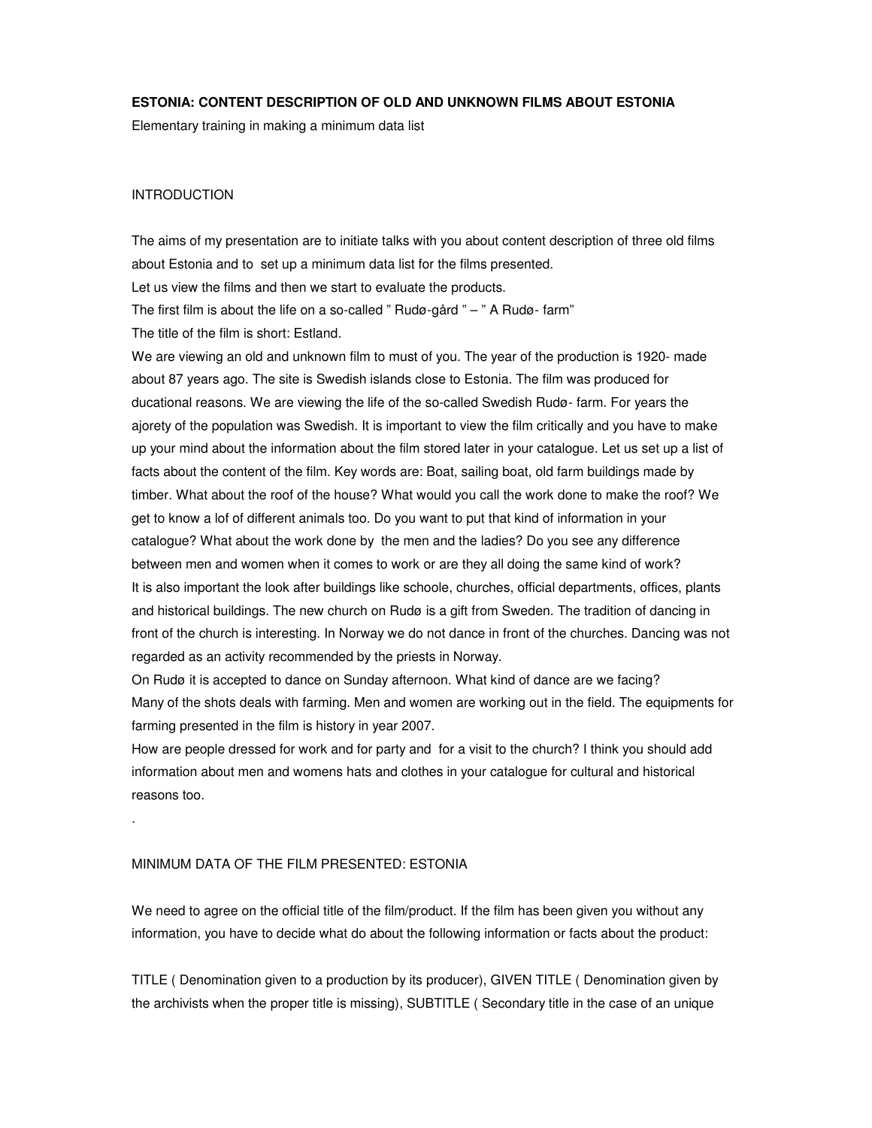## **ESTONIA: CONTENT DESCRIPTION OF OLD AND UNKNOWN FILMS ABOUT ESTONIA**

Elementary training in making a minimum data list

## INTRODUCTION

.

The aims of my presentation are to initiate talks with you about content description of three old films about Estonia and to set up a minimum data list for the films presented. Let us view the films and then we start to evaluate the products. The first film is about the life on a so-called " Rudø-gård " – " A Rudø- farm" The title of the film is short: Estland.

We are viewing an old and unknown film to must of you. The year of the production is 1920- made about 87 years ago. The site is Swedish islands close to Estonia. The film was produced for ducational reasons. We are viewing the life of the so-called Swedish Rudø- farm. For years the ajorety of the population was Swedish. It is important to view the film critically and you have to make up your mind about the information about the film stored later in your catalogue. Let us set up a list of facts about the content of the film. Key words are: Boat, sailing boat, old farm buildings made by timber. What about the roof of the house? What would you call the work done to make the roof? We get to know a lof of different animals too. Do you want to put that kind of information in your catalogue? What about the work done by the men and the ladies? Do you see any difference between men and women when it comes to work or are they all doing the same kind of work? It is also important the look after buildings like schoole, churches, official departments, offices, plants and historical buildings. The new church on Rudø is a gift from Sweden. The tradition of dancing in front of the church is interesting. In Norway we do not dance in front of the churches. Dancing was not regarded as an activity recommended by the priests in Norway.

On Rudø it is accepted to dance on Sunday afternoon. What kind of dance are we facing? Many of the shots deals with farming. Men and women are working out in the field. The equipments for farming presented in the film is history in year 2007.

How are people dressed for work and for party and for a visit to the church? I think you should add information about men and womens hats and clothes in your catalogue for cultural and historical reasons too.

## MINIMUM DATA OF THE FILM PRESENTED: ESTONIA

We need to agree on the official title of the film/product. If the film has been given you without any information, you have to decide what do about the following information or facts about the product:

TITLE ( Denomination given to a production by its producer), GIVEN TITLE ( Denomination given by the archivists when the proper title is missing), SUBTITLE ( Secondary title in the case of an unique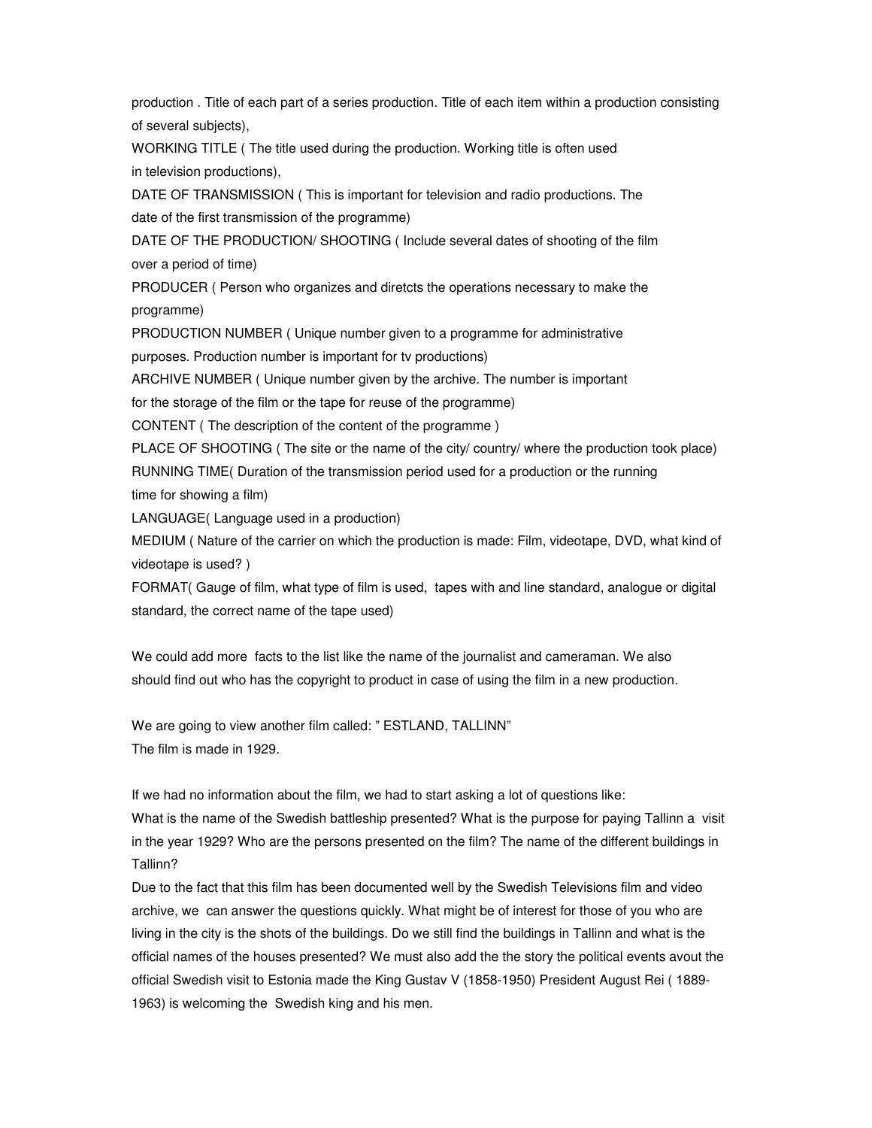production . Title of each part of a series production. Title of each item within a production consisting of several subjects),

WORKING TITLE ( The title used during the production. Working title is often used in television productions),

DATE OF TRANSMISSION ( This is important for television and radio productions. The date of the first transmission of the programme)

DATE OF THE PRODUCTION/ SHOOTING ( Include several dates of shooting of the film over a period of time)

PRODUCER ( Person who organizes and diretcts the operations necessary to make the programme)

PRODUCTION NUMBER ( Unique number given to a programme for administrative purposes. Production number is important for tv productions)

ARCHIVE NUMBER ( Unique number given by the archive. The number is important

for the storage of the film or the tape for reuse of the programme)

CONTENT ( The description of the content of the programme )

PLACE OF SHOOTING ( The site or the name of the city/ country/ where the production took place) RUNNING TIME( Duration of the transmission period used for a production or the running time for showing a film)

LANGUAGE( Language used in a production)

MEDIUM ( Nature of the carrier on which the production is made: Film, videotape, DVD, what kind of videotape is used? )

FORMAT( Gauge of film, what type of film is used, tapes with and line standard, analogue or digital standard, the correct name of the tape used)

We could add more facts to the list like the name of the journalist and cameraman. We also should find out who has the copyright to product in case of using the film in a new production.

We are going to view another film called: "ESTLAND, TALLINN" The film is made in 1929.

If we had no information about the film, we had to start asking a lot of questions like: What is the name of the Swedish battleship presented? What is the purpose for paying Tallinn a visit in the year 1929? Who are the persons presented on the film? The name of the different buildings in Tallinn?

Due to the fact that this film has been documented well by the Swedish Televisions film and video archive, we can answer the questions quickly. What might be of interest for those of you who are living in the city is the shots of the buildings. Do we still find the buildings in Tallinn and what is the official names of the houses presented? We must also add the the story the political events avout the official Swedish visit to Estonia made the King Gustav V (1858-1950) President August Rei ( 1889- 1963) is welcoming the Swedish king and his men.